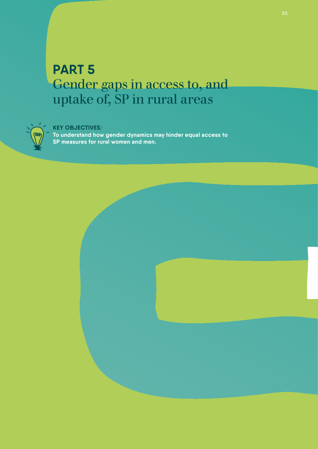# **PART 5** Gender gaps in access to, and uptake of, SP in rural areas



# **KEY OBJECTIVES***:*

**To understand how gender dynamics may hinder equal access to SP measures for rural women and men.** 

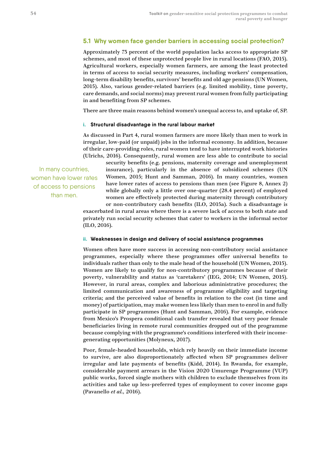# **5.1 Why women face gender barriers in accessing social protection?**

Approximately 73 percent of the world population lacks access to appropriate SP schemes, and most of these unprotected people live in rural locations (FAO, 2015). Agricultural workers, especially women farmers, are among the least protected in terms of access to social security measures, including workers' compensation, long-term disability benefits, survivors' benefits and old age pensions (UN Women, 2015). Also, various gender-related barriers (e.g. limited mobility, time poverty, care demands, and social norms) may prevent rural women from fully participating in and benefiting from SP schemes.

There are three main reasons behind women's unequal access to, and uptake of, SP.

#### **i. Structural disadvantage in the rural labour market**

As discussed in Part 4, rural women farmers are more likely than men to work in irregular, low-paid (or unpaid) jobs in the informal economy. In addition, because of their care-providing roles, rural women tend to have interrupted work histories (Ulrichs, 2016). Consequently, rural women are less able to contribute to social

In many countries, women have lower rates of access to pensions than men.

security benefits (e.g. pensions, maternity coverage and unemployment insurance), particularly in the absence of subsidized schemes (UN Women, 2015; Hunt and Samman, 2016). In many countries, women have lower rates of access to pensions than men (see Figure 8, Annex 2) while globally only a little over one-quarter (28.4 percent) of employed women are effectively protected during maternity through contributory or non-contributory cash benefits (ILO, 2015a). Such a disadvantage is

exacerbated in rural areas where there is a severe lack of access to both state and privately run social security schemes that cater to workers in the informal sector (ILO, 2016).

#### **ii. Weaknesses in design and delivery of social assistance programmes**

Women often have more success in accessing non-contributory social assistance programmes, especially where these programmes offer universal benefits to individuals rather than only to the male head of the household (UN Women, 2015). Women are likely to qualify for non-contributory programmes because of their poverty, vulnerability and status as 'caretakers' (IEG, 2014; UN Women, 2015). However, in rural areas, complex and laborious administrative procedures; the limited communication and awareness of programme eligibility and targeting criteria; and the perceived value of benefits in relation to the cost (in time and money) of participation, may make women less likely than men to enrol in and fully participate in SP programmes (Hunt and Samman, 2016). For example, evidence from Mexico's Prospera conditional cash transfer revealed that very poor female beneficiaries living in remote rural communities dropped out of the programme because complying with the programme's conditions interfered with their incomegenerating opportunities (Molyneux, 2017).

Poor, female-headed households, which rely heavily on their immediate income to survive, are also disproportionately affected when SP programmes deliver irregular and late payments of benefits (Kidd, 2014). In Rwanda, for example, considerable payment arrears in the Vision 2020 Umurenge Programme (VUP) public works, forced single mothers with children to exclude themselves from its activities and take up less-preferred types of employment to cover income gaps (Pavanello *et al.,* 2016).